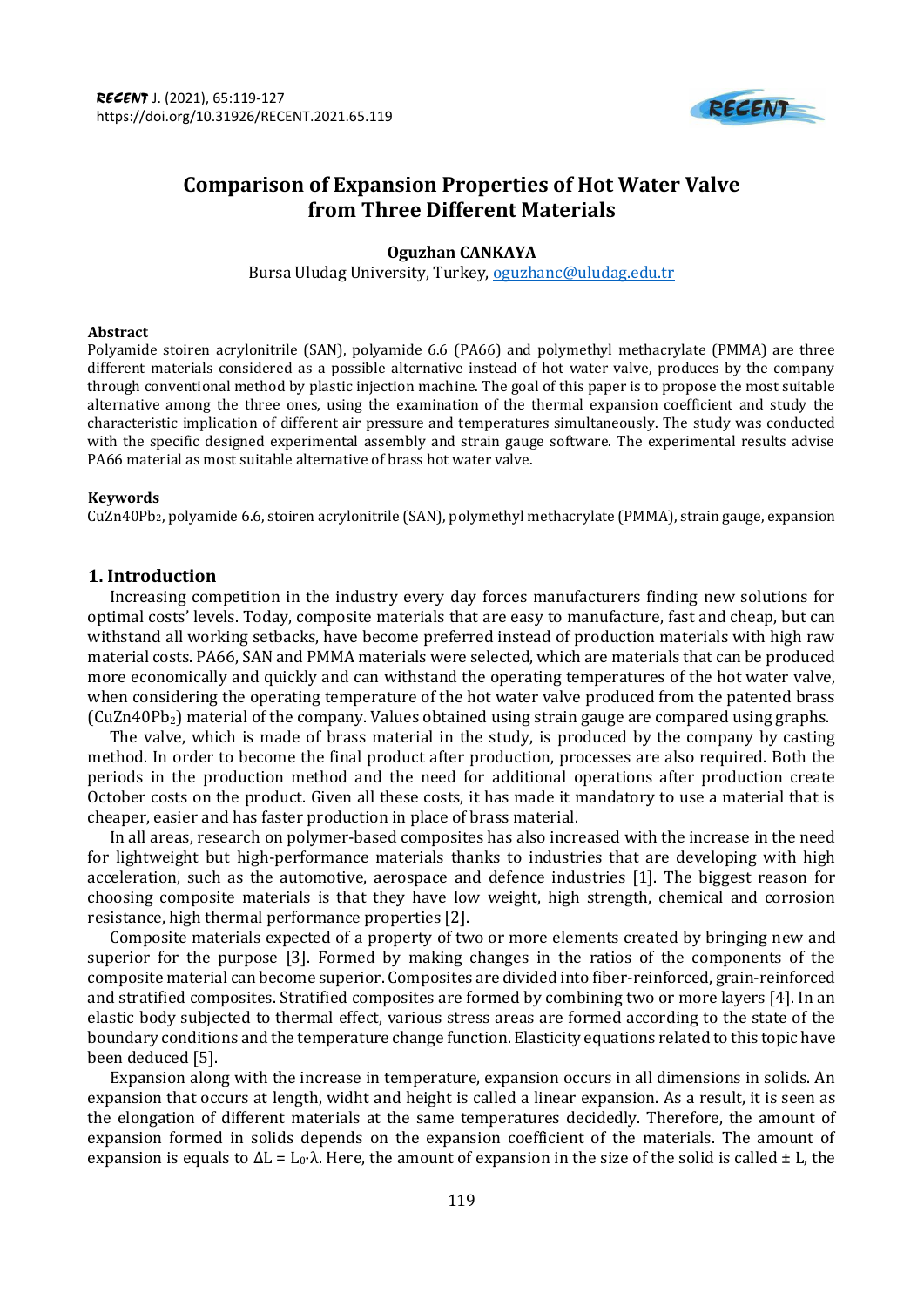

# **Comparison of Expansion Properties of Hot Water Valve from Three Different Materials**

# **Oguzhan CANKAYA**

Bursa Uludag University, Turkey, [oguzhanc@uludag.edu.tr](mailto:oguzhanc@uludag.edu.tr)

#### **Abstract**

Polyamide stoiren acrylonitrile (SAN), polyamide 6.6 (PA66) and polymethyl methacrylate (PMMA) are three different materials considered as a possible alternative instead of hot water valve, produces by the company through conventional method by plastic injection machine. The goal of this paper is to propose the most suitable alternative among the three ones, using the examination of the thermal expansion coefficient and study the characteristic implication of different air pressure and temperatures simultaneously. The study was conducted with the specific designed experimental assembly and strain gauge software. The experimental results advise PA66 material as most suitable alternative of brass hot water valve.

#### **Keywords**

CuZn40Pb2, polyamide 6.6, stoiren acrylonitrile (SAN), polymethyl methacrylate (PMMA), strain gauge, expansion

# **1. Introduction**

Increasing competition in the industry every day forces manufacturers finding new solutions for optimal costs' levels. Today, composite materials that are easy to manufacture, fast and cheap, but can withstand all working setbacks, have become preferred instead of production materials with high raw material costs. PA66, SAN and PMMA materials were selected, which are materials that can be produced more economically and quickly and can withstand the operating temperatures of the hot water valve, when considering the operating temperature of the hot water valve produced from the patented brass  $(CuZn40Pb<sub>2</sub>)$  material of the company. Values obtained using strain gauge are compared using graphs.

The valve, which is made of brass material in the study, is produced by the company by casting method. In order to become the final product after production, processes are also required. Both the periods in the production method and the need for additional operations after production create October costs on the product. Given all these costs, it has made it mandatory to use a material that is cheaper, easier and has faster production in place of brass material.

In all areas, research on polymer-based composites has also increased with the increase in the need for lightweight but high-performance materials thanks to industries that are developing with high acceleration, such as the automotive, aerospace and defence industries [1]. The biggest reason for choosing composite materials is that they have low weight, high strength, chemical and corrosion resistance, high thermal performance properties [2].

Composite materials expected of a property of two or more elements created by bringing new and superior for the purpose [3]. Formed by making changes in the ratios of the components of the composite material can become superior. Composites are divided into fiber-reinforced, grain-reinforced and stratified composites. Stratified composites are formed by combining two or more layers [4]. In an elastic body subjected to thermal effect, various stress areas are formed according to the state of the boundary conditions and the temperature change function. Elasticity equations related to this topic have been deduced [5].

Expansion along with the increase in temperature, expansion occurs in all dimensions in solids. An expansion that occurs at length, widht and height is called a linear expansion. As a result, it is seen as the elongation of different materials at the same temperatures decidedly. Therefore, the amount of expansion formed in solids depends on the expansion coefficient of the materials. The amount of expansion is equals to  $ΔL = L_0·λ$ . Here, the amount of expansion in the size of the solid is called  $± L$ , the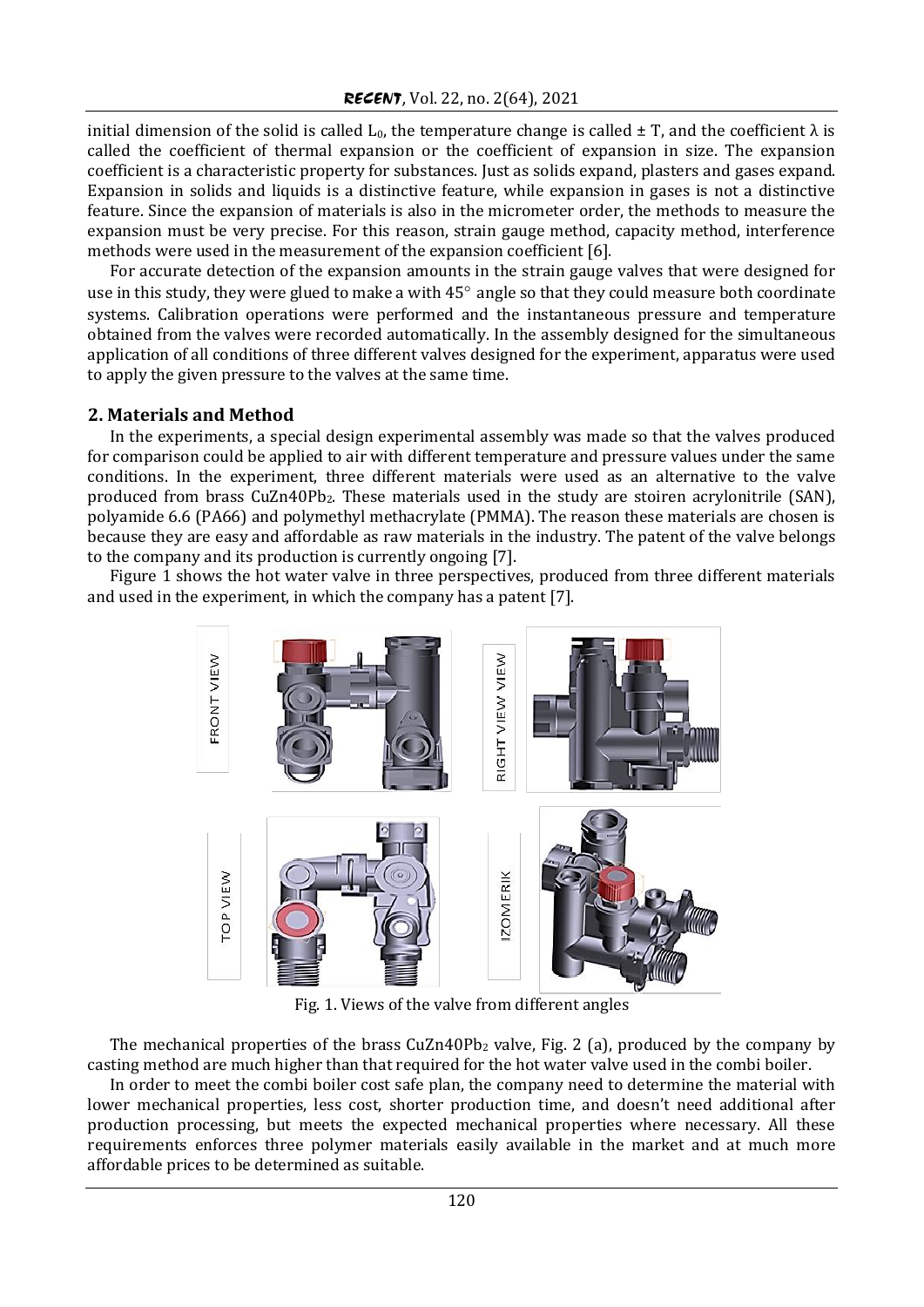initial dimension of the solid is called  $L_0$ , the temperature change is called  $\pm$  T, and the coefficient  $\lambda$  is called the coefficient of thermal expansion or the coefficient of expansion in size. The expansion coefficient is a characteristic property for substances. Just as solids expand, plasters and gases expand. Expansion in solids and liquids is a distinctive feature, while expansion in gases is not a distinctive feature. Since the expansion of materials is also in the micrometer order, the methods to measure the expansion must be very precise. For this reason, strain gauge method, capacity method, interference methods were used in the measurement of the expansion coefficient [6].

For accurate detection of the expansion amounts in the strain gauge valves that were designed for use in this study, they were glued to make a with 45° angle so that they could measure both coordinate systems. Calibration operations were performed and the instantaneous pressure and temperature obtained from the valves were recorded automatically. In the assembly designed for the simultaneous application of all conditions of three different valves designed for the experiment, apparatus were used to apply the given pressure to the valves at the same time.

# **2. Materials and Method**

In the experiments, a special design experimental assembly was made so that the valves produced for comparison could be applied to air with different temperature and pressure values under the same conditions. In the experiment, three different materials were used as an alternative to the valve produced from brass CuZn40Pb2. These materials used in the study are stoiren acrylonitrile (SAN), polyamide 6.6 (PA66) and polymethyl methacrylate (PMMA). The reason these materials are chosen is because they are easy and affordable as raw materials in the industry. The patent of the valve belongs to the company and its production is currently ongoing [7].

Figure 1 shows the hot water valve in three perspectives, produced from three different materials and used in the experiment, in which the company has a patent [7].



Fig. 1. Views of the valve from different angles

The mechanical properties of the brass  $CuZn40Pb<sub>2</sub>$  valve, Fig. 2 (a), produced by the company by casting method are much higher than that required for the hot water valve used in the combi boiler.

In order to meet the combi boiler cost safe plan, the company need to determine the material with lower mechanical properties, less cost, shorter production time, and doesn't need additional after production processing, but meets the expected mechanical properties where necessary. All these requirements enforces three polymer materials easily available in the market and at much more affordable prices to be determined as suitable.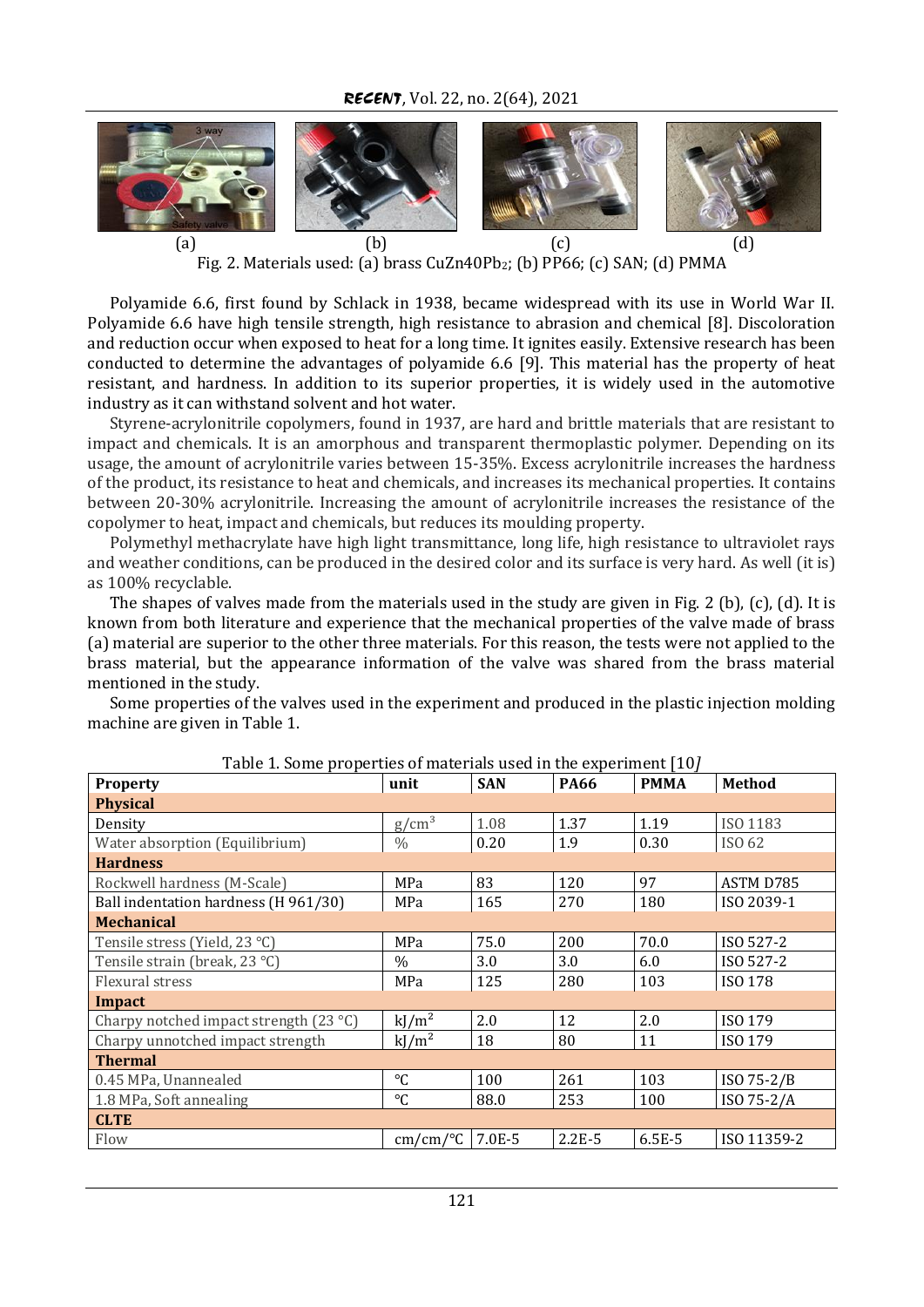*RECENT*, Vol. 22, no. 2(64), 2021



Fig. 2. Materials used: (a) brass CuZn40Pb<sub>2</sub>; (b) PP66; (c) SAN; (d) PMMA

Polyamide 6.6, first found by Schlack in 1938, became widespread with its use in World War II. Polyamide 6.6 have high tensile strength, high resistance to abrasion and chemical [8]. Discoloration and reduction occur when exposed to heat for a long time. It ignites easily. Extensive research has been conducted to determine the advantages of polyamide 6.6 [9]. This material has the property of heat resistant, and hardness. In addition to its superior properties, it is widely used in the automotive industry as it can withstand solvent and hot water.

Styrene-acrylonitrile copolymers, found in 1937, are hard and brittle materials that are resistant to impact and chemicals. It is an amorphous and transparent thermoplastic polymer. Depending on its usage, the amount of acrylonitrile varies between 15-35%. Excess acrylonitrile increases the hardness of the product, its resistance to heat and chemicals, and increases its mechanical properties. It contains between 20-30% acrylonitrile. Increasing the amount of acrylonitrile increases the resistance of the copolymer to heat, impact and chemicals, but reduces its moulding property.

Polymethyl methacrylate have high light transmittance, long life, high resistance to ultraviolet rays and weather conditions, can be produced in the desired color and its surface is very hard. As well (it is) as 100% recyclable.

The shapes of valves made from the materials used in the study are given in Fig. 2 (b), (c), (d). It is known from both literature and experience that the mechanical properties of the valve made of brass (a) material are superior to the other three materials. For this reason, the tests were not applied to the brass material, but the appearance information of the valve was shared from the brass material mentioned in the study.

Some properties of the valves used in the experiment and produced in the plastic injection molding machine are given in Table 1.

| Table 1. Some properties of materials used in the experiment [10] | unit              | <b>SAN</b> | <b>PA66</b> | <b>PMMA</b> | <b>Method</b> |
|-------------------------------------------------------------------|-------------------|------------|-------------|-------------|---------------|
| <b>Property</b>                                                   |                   |            |             |             |               |
| <b>Physical</b>                                                   |                   |            |             |             |               |
| Density                                                           | g/cm <sup>3</sup> | 1.08       | 1.37        | 1.19        | ISO 1183      |
| Water absorption (Equilibrium)                                    | $\frac{0}{0}$     | 0.20       | 1.9         | 0.30        | ISO 62        |
| <b>Hardness</b>                                                   |                   |            |             |             |               |
| Rockwell hardness (M-Scale)                                       | MPa               | 83         | 120         | 97          | ASTM D785     |
| Ball indentation hardness (H 961/30)                              | MPa               | 165        | 270         | 180         | ISO 2039-1    |
| <b>Mechanical</b>                                                 |                   |            |             |             |               |
| Tensile stress (Yield, 23 °C)                                     | MPa               | 75.0       | 200         | 70.0        | ISO 527-2     |
| Tensile strain (break, 23 °C)                                     | $\%$              | 3.0        | 3.0         | 6.0         | ISO 527-2     |
| Flexural stress                                                   | MPa               | 125        | 280         | 103         | ISO 178       |
| Impact                                                            |                   |            |             |             |               |
| Charpy notched impact strength $(23 °C)$                          | $kJ/m^2$          | 2.0        | 12          | 2.0         | ISO 179       |
| Charpy unnotched impact strength                                  | $kJ/m^2$          | 18         | 80          | 11          | ISO 179       |
| <b>Thermal</b>                                                    |                   |            |             |             |               |
| 0.45 MPa, Unannealed                                              | °C                | 100        | 261         | 103         | ISO 75-2/B    |
| 1.8 MPa, Soft annealing                                           | $^{\circ}C$       | 88.0       | 253         | 100         | ISO 75-2/A    |
| <b>CLTE</b>                                                       |                   |            |             |             |               |
| Flow                                                              | cm/cm/°C          | 7.0E-5     | $2.2E-5$    | 6.5E-5      | ISO 11359-2   |

Table 1. Some properties of materials used in the experiment [10*]*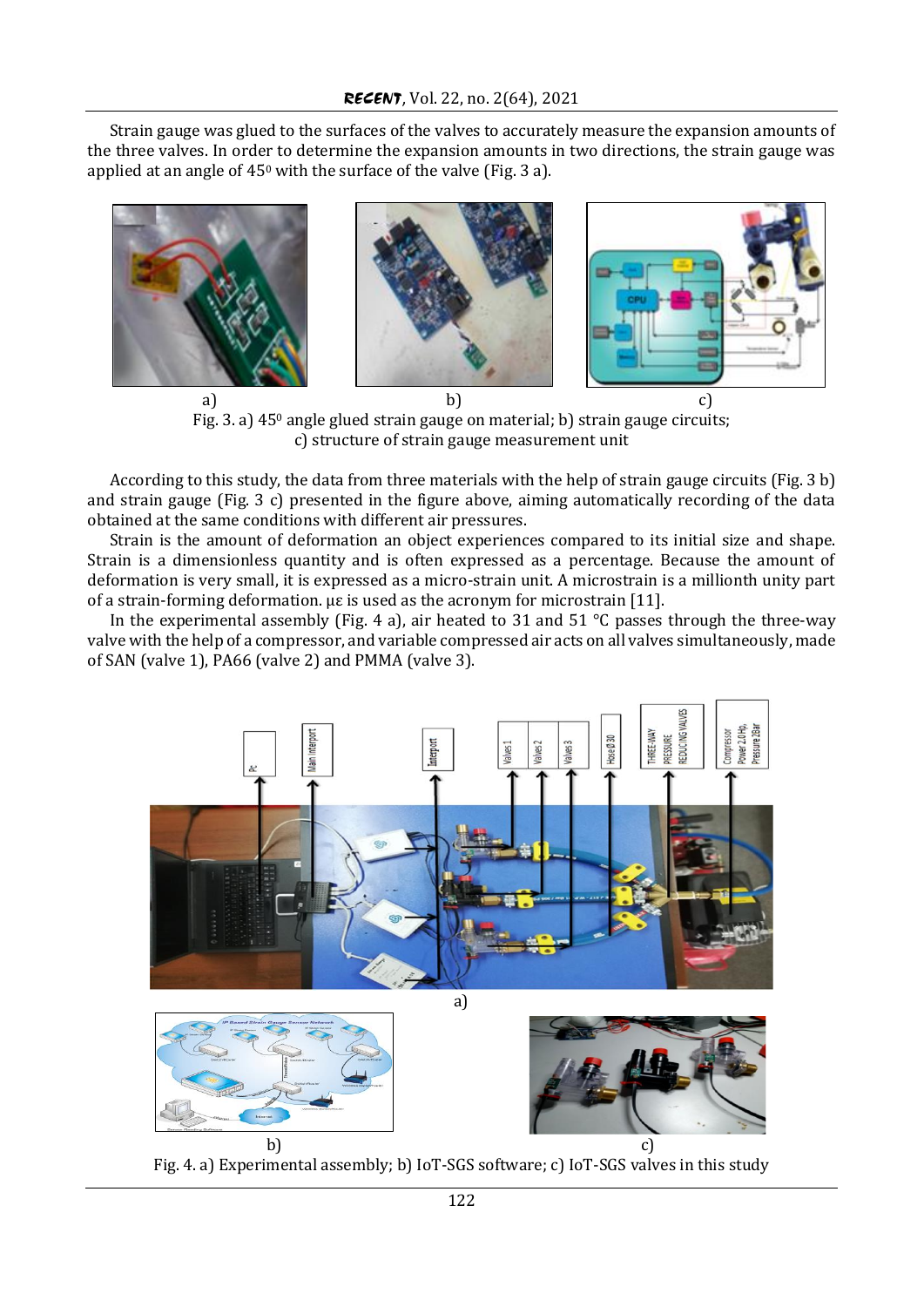Strain gauge was glued to the surfaces of the valves to accurately measure the expansion amounts of the three valves. In order to determine the expansion amounts in two directions, the strain gauge was applied at an angle of  $45^{\circ}$  with the surface of the valve (Fig. 3 a).



Fig. 3. a) 45<sup>0</sup> angle glued strain gauge on material; b) strain gauge circuits; c) structure of strain gauge measurement unit

According to this study, the data from three materials with the help of strain gauge circuits (Fig. 3 b) and strain gauge (Fig. 3 c) presented in the figure above, aiming automatically recording of the data obtained at the same conditions with different air pressures.

Strain is the amount of deformation an object experiences compared to its initial size and shape. Strain is a dimensionless quantity and is often expressed as a percentage. Because the amount of deformation is very small, it is expressed as a micro-strain unit. A microstrain is a millionth unity part of a strain-forming deformation. µε is used as the acronym for microstrain [11].

In the experimental assembly (Fig. 4 a), air heated to 31 and 51  $\degree$ C passes through the three-way valve with the help of a compressor, and variable compressed air acts on all valves simultaneously, made of SAN (valve 1), PA66 (valve 2) and PMMA (valve 3).



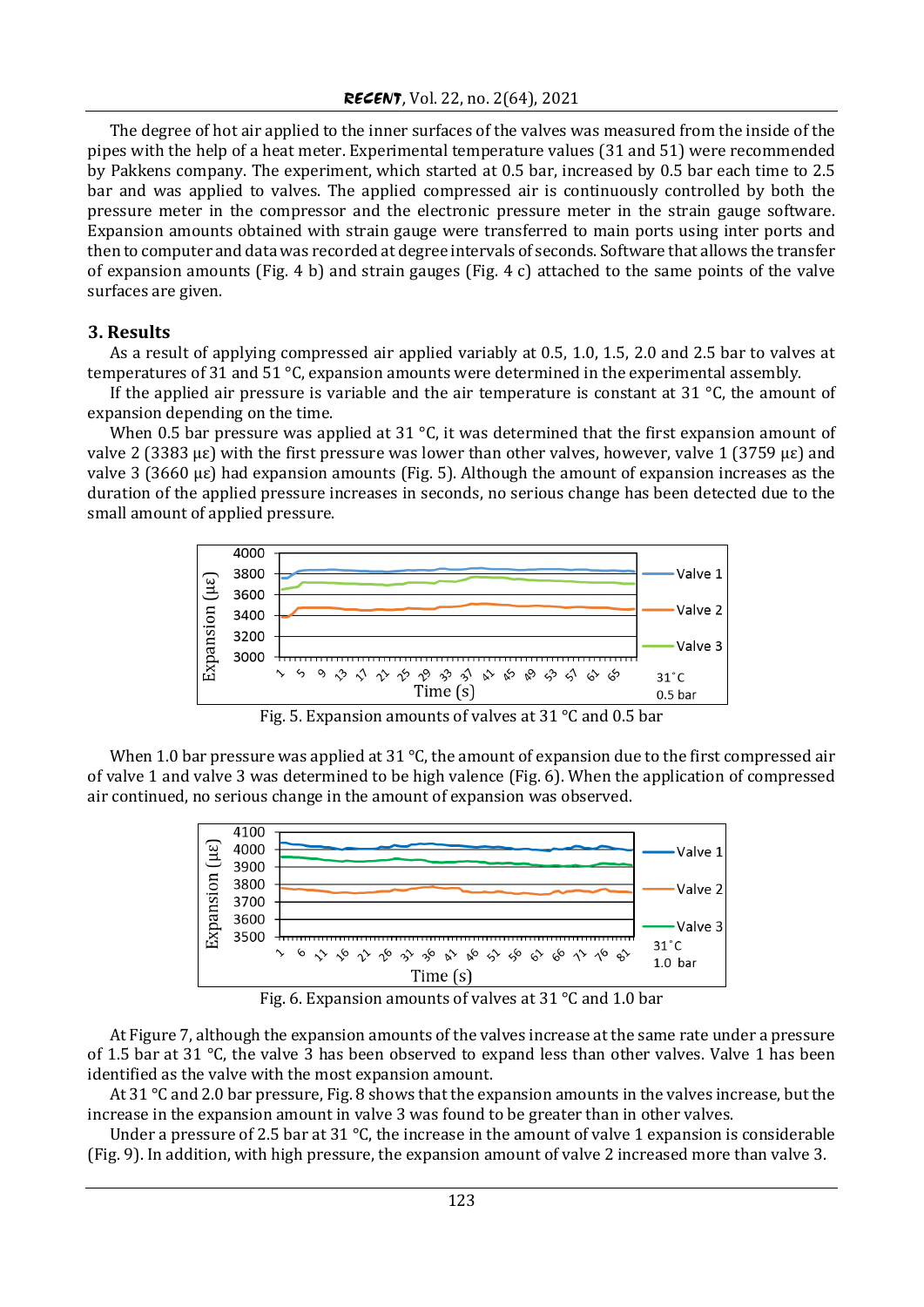The degree of hot air applied to the inner surfaces of the valves was measured from the inside of the pipes with the help of a heat meter. Experimental temperature values (31 and 51) were recommended by Pakkens company. The experiment, which started at 0.5 bar, increased by 0.5 bar each time to 2.5 bar and was applied to valves. The applied compressed air is continuously controlled by both the pressure meter in the compressor and the electronic pressure meter in the strain gauge software. Expansion amounts obtained with strain gauge were transferred to main ports using inter ports and then to computer and data was recorded at degree intervals of seconds. Software that allows the transfer of expansion amounts (Fig. 4 b) and strain gauges (Fig. 4 c) attached to the same points of the valve surfaces are given.

## **3. Results**

As a result of applying compressed air applied variably at 0.5, 1.0, 1.5, 2.0 and 2.5 bar to valves at temperatures of 31 and 51 °C, expansion amounts were determined in the experimental assembly.

If the applied air pressure is variable and the air temperature is constant at  $31^{\circ}$ C, the amount of expansion depending on the time.

When 0.5 bar pressure was applied at 31  $\degree$ C, it was determined that the first expansion amount of valve 2 (3383 µε) with the first pressure was lower than other valves, however, valve 1 (3759 µε) and valve 3 (3660 µε) had expansion amounts (Fig. 5). Although the amount of expansion increases as the duration of the applied pressure increases in seconds, no serious change has been detected due to the small amount of applied pressure.



Fig. 5. Expansion amounts of valves at 31 °C and 0.5 bar

When 1.0 bar pressure was applied at 31 °C, the amount of expansion due to the first compressed air of valve 1 and valve 3 was determined to be high valence (Fig. 6). When the application of compressed air continued, no serious change in the amount of expansion was observed.



Fig. 6. Expansion amounts of valves at 31 °C and 1.0 bar

At Figure 7, although the expansion amounts of the valves increase at the same rate under a pressure of 1.5 bar at 31 °C, the valve 3 has been observed to expand less than other valves. Valve 1 has been identified as the valve with the most expansion amount.

At 31 °C and 2.0 bar pressure, Fig. 8 shows that the expansion amounts in the valves increase, but the increase in the expansion amount in valve 3 was found to be greater than in other valves.

Under a pressure of 2.5 bar at 31  $\degree$ C, the increase in the amount of valve 1 expansion is considerable (Fig. 9). In addition, with high pressure, the expansion amount of valve 2 increased more than valve 3.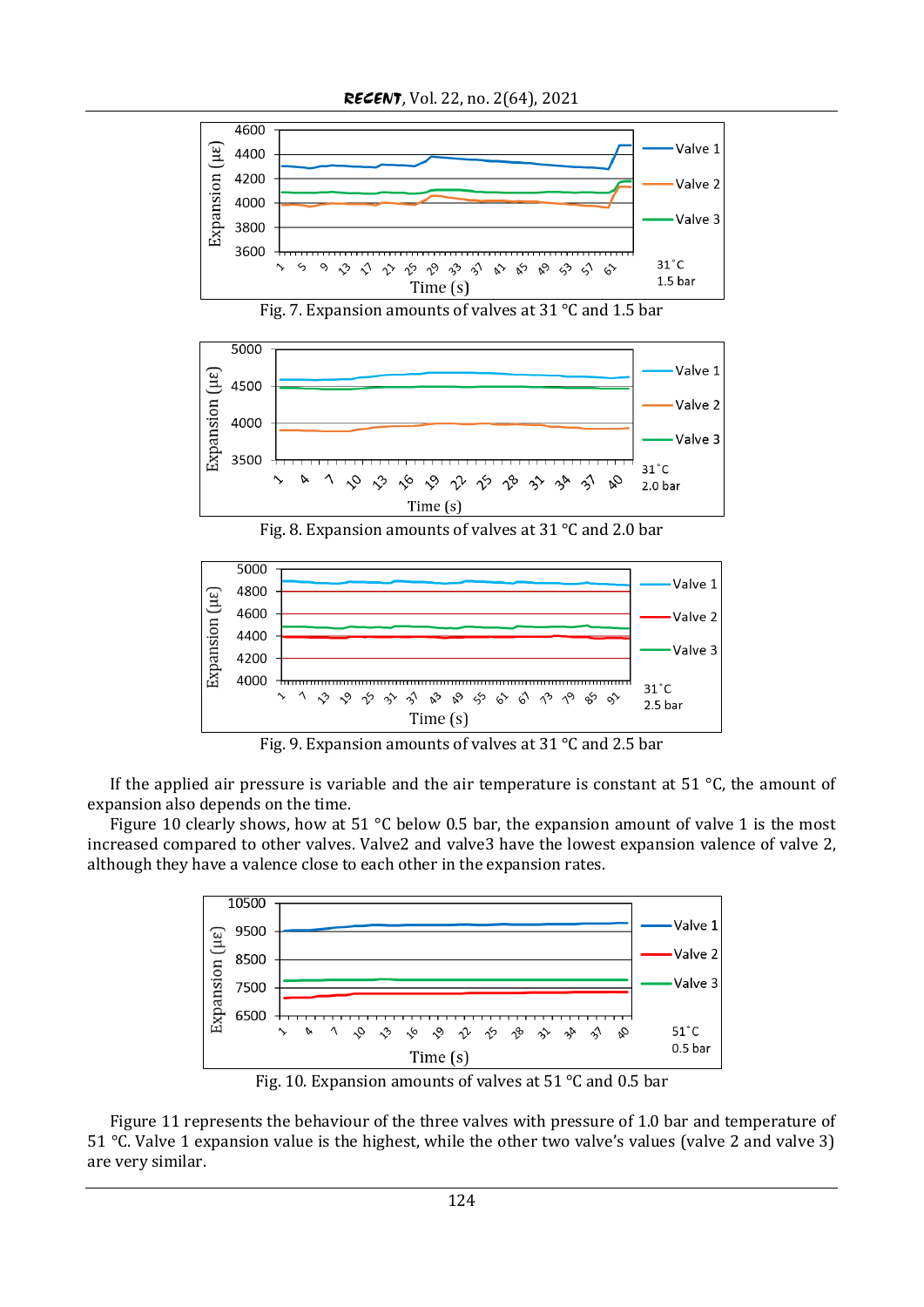

Fig. 7. Expansion amounts of valves at 31 °C and 1.5 bar



Fig. 8. Expansion amounts of valves at 31 °C and 2.0 bar



Fig. 9. Expansion amounts of valves at 31 °C and 2.5 bar

If the applied air pressure is variable and the air temperature is constant at 51  $\degree$ C, the amount of expansion also depends on the time.

Figure 10 clearly shows, how at 51 °C below 0.5 bar, the expansion amount of valve 1 is the most increased compared to other valves. Valve2 and valve3 have the lowest expansion valence of valve 2, although they have a valence close to each other in the expansion rates.



Fig. 10. Expansion amounts of valves at 51 °C and 0.5 bar

Figure 11 represents the behaviour of the three valves with pressure of 1.0 bar and temperature of 51 °C. Valve 1 expansion value is the highest, while the other two valve's values (valve 2 and valve 3) are very similar.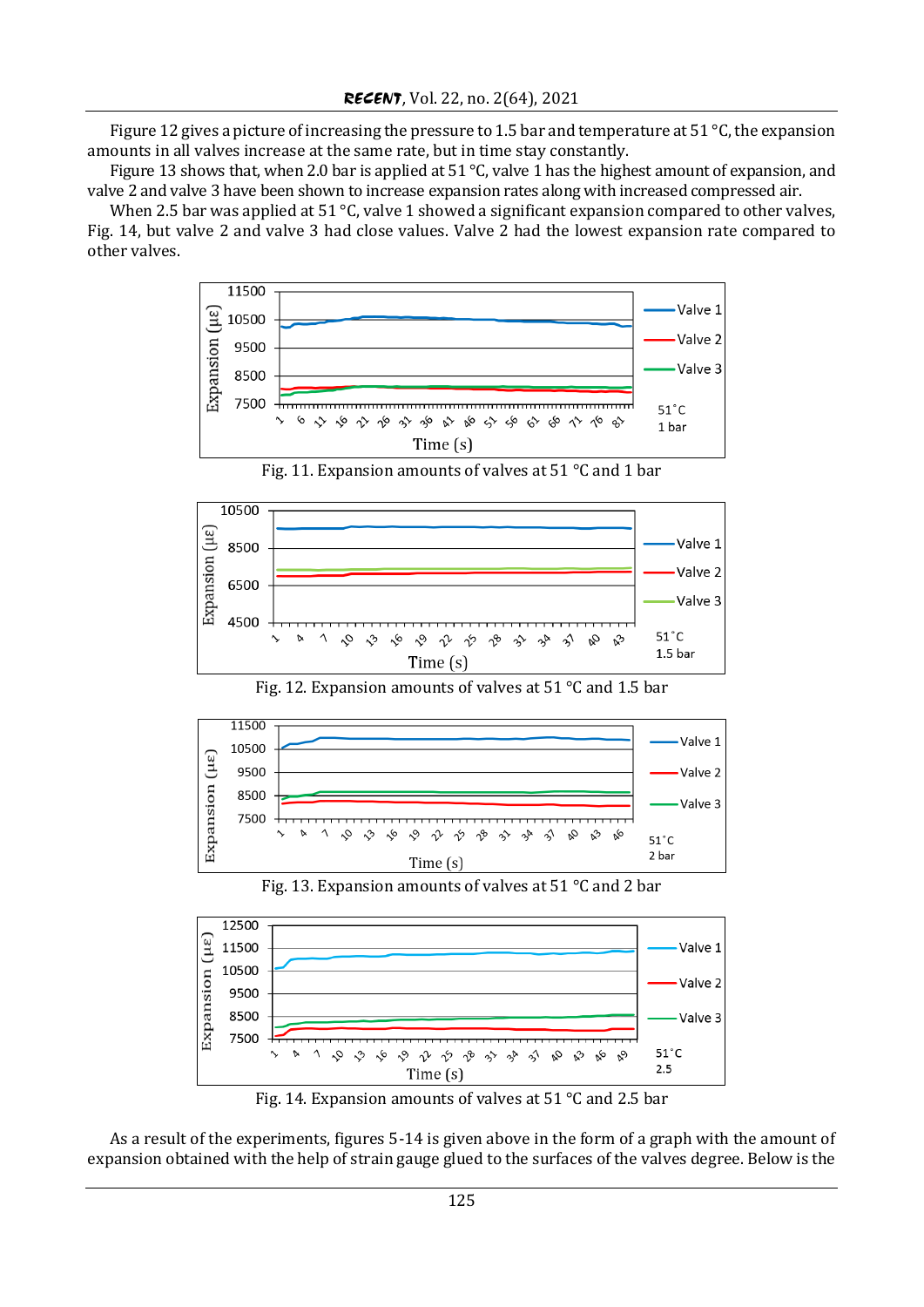Figure 12 gives a picture of increasing the pressure to 1.5 bar and temperature at 51 °C, the expansion amounts in all valves increase at the same rate, but in time stay constantly.

Figure 13 shows that, when 2.0 bar is applied at 51 °C, valve 1 has the highest amount of expansion, and valve 2 and valve 3 have been shown to increase expansion rates along with increased compressed air.

When 2.5 bar was applied at 51  $\degree$ C, valve 1 showed a significant expansion compared to other valves, Fig. 14, but valve 2 and valve 3 had close values. Valve 2 had the lowest expansion rate compared to other valves.



Fig. 11. Expansion amounts of valves at 51 °C and 1 bar



Fig. 12. Expansion amounts of valves at 51 °C and 1.5 bar



Fig. 13. Expansion amounts of valves at 51 °C and 2 bar



Fig. 14. Expansion amounts of valves at 51 °C and 2.5 bar

As a result of the experiments, figures 5-14 is given above in the form of a graph with the amount of expansion obtained with the help of strain gauge glued to the surfaces of the valves degree. Below is the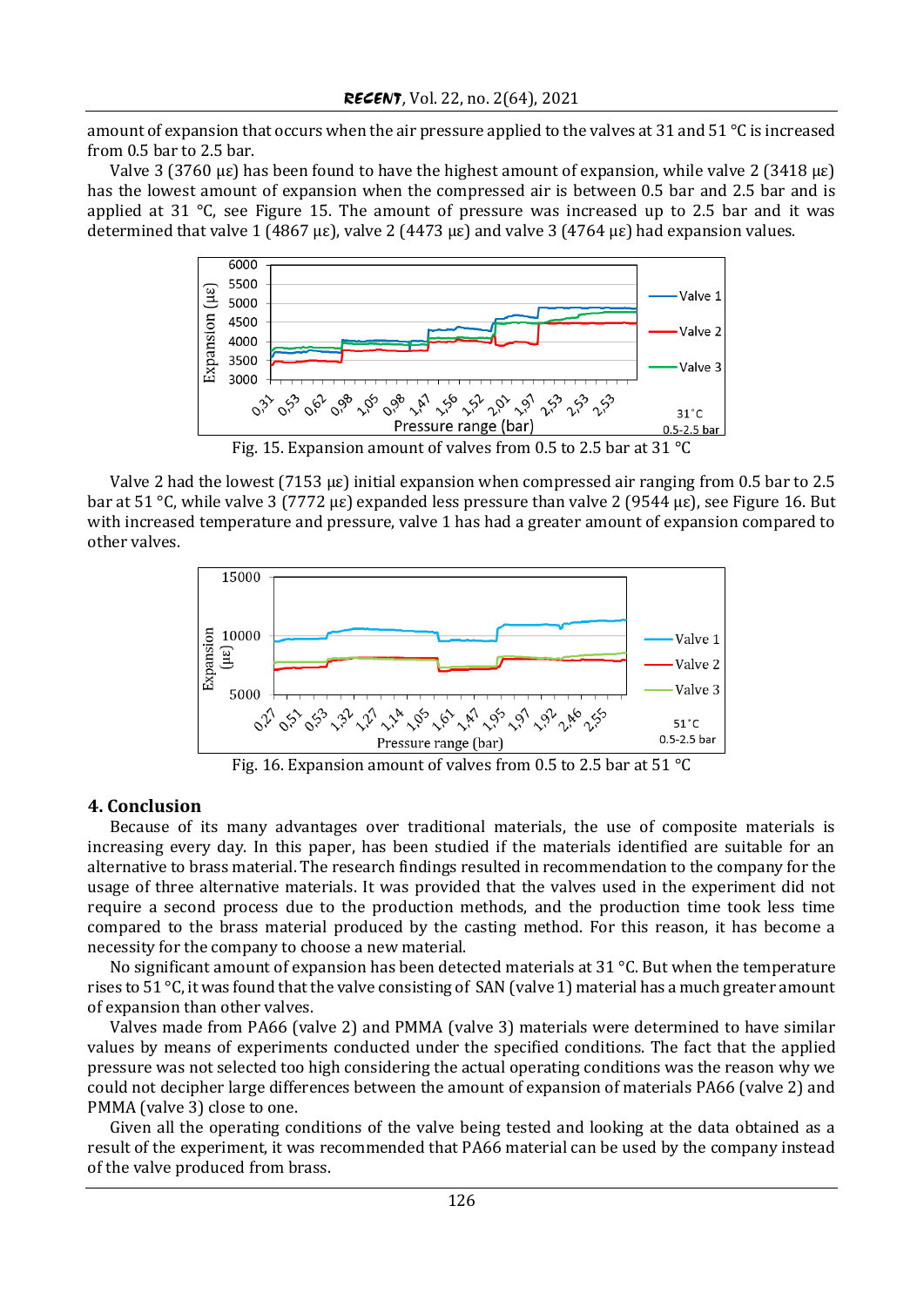amount of expansion that occurs when the air pressure applied to the valves at 31 and 51 °C is increased from 0.5 bar to 2.5 bar.

Valve 3 (3760 με) has been found to have the highest amount of expansion, while valve 2 (3418 με) has the lowest amount of expansion when the compressed air is between 0.5 bar and 2.5 bar and is applied at 31  $\degree$ C, see Figure 15. The amount of pressure was increased up to 2.5 bar and it was determined that valve 1 (4867 µε), valve 2 (4473 µε) and valve 3 (4764 µε) had expansion values.



Fig. 15. Expansion amount of valves from 0.5 to 2.5 bar at 31 °C

Valve 2 had the lowest (7153 µε) initial expansion when compressed air ranging from 0.5 bar to 2.5 bar at 51 °C, while valve 3 (7772 µε) expanded less pressure than valve 2 (9544 µε), see Figure 16. But with increased temperature and pressure, valve 1 has had a greater amount of expansion compared to other valves.



Fig. 16. Expansion amount of valves from 0.5 to 2.5 bar at 51 °C

### **4. Conclusion**

Because of its many advantages over traditional materials, the use of composite materials is increasing every day. In this paper, has been studied if the materials identified are suitable for an alternative to brass material. The research findings resulted in recommendation to the company for the usage of three alternative materials. It was provided that the valves used in the experiment did not require a second process due to the production methods, and the production time took less time compared to the brass material produced by the casting method. For this reason, it has become a necessity for the company to choose a new material.

No significant amount of expansion has been detected materials at 31  $^{\circ}$ C. But when the temperature rises to 51 °C, it was found that the valve consisting of SAN (valve 1) material has a much greater amount of expansion than other valves.

Valves made from PA66 (valve 2) and PMMA (valve 3) materials were determined to have similar values by means of experiments conducted under the specified conditions. The fact that the applied pressure was not selected too high considering the actual operating conditions was the reason why we could not decipher large differences between the amount of expansion of materials PA66 (valve 2) and PMMA (valve 3) close to one.

Given all the operating conditions of the valve being tested and looking at the data obtained as a result of the experiment, it was recommended that PA66 material can be used by the company instead of the valve produced from brass.